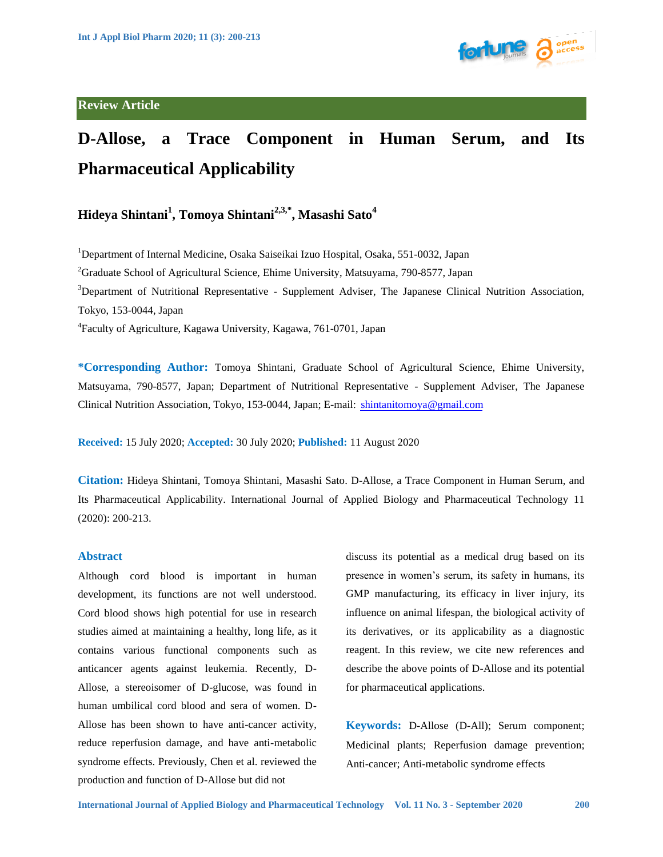

# **D-Allose, a Trace Component in Human Serum, and Its Pharmaceutical Applicability**

# **Hideya Shintani1 , Tomoya Shintani2,3,\*, Masashi Sato4**

<sup>1</sup>Department of Internal Medicine, Osaka Saiseikai Izuo Hospital, Osaka, 551-0032, Japan

 ${}^{2}$ Graduate School of Agricultural Science, Ehime University, Matsuyama, 790-8577, Japan

<sup>3</sup>Department of Nutritional Representative - Supplement Adviser, The Japanese Clinical Nutrition Association, Tokyo, 153-0044, Japan

4 Faculty of Agriculture, Kagawa University, Kagawa, 761-0701, Japan

**\*Corresponding Author:** Tomoya Shintani, Graduate School of Agricultural Science, Ehime University, Matsuyama, 790-8577, Japan; Department of Nutritional Representative - Supplement Adviser, The Japanese Clinical Nutrition Association, Tokyo, 153-0044, Japan; E-mail: [shintanitomoya@gmail.com](mailto:shintanitomoya@gmail.com) 

**Received:** 15 July 2020; **Accepted:** 30 July 2020; **Published:** 11 August 2020

**Citation:** Hideya Shintani, Tomoya Shintani, Masashi Sato. D-Allose, a Trace Component in Human Serum, and Its Pharmaceutical Applicability. International Journal of Applied Biology and Pharmaceutical Technology 11 (2020): 200-213.

#### **Abstract**

Although cord blood is important in human development, its functions are not well understood. Cord blood shows high potential for use in research studies aimed at maintaining a healthy, long life, as it contains various functional components such as anticancer agents against leukemia. Recently, D-Allose, a stereoisomer of D-glucose, was found in human umbilical cord blood and sera of women. D-Allose has been shown to have anti-cancer activity, reduce reperfusion damage, and have anti-metabolic syndrome effects. Previously, Chen et al. reviewed the production and function of D-Allose but did not

discuss its potential as a medical drug based on its presence in women's serum, its safety in humans, its GMP manufacturing, its efficacy in liver injury, its influence on animal lifespan, the biological activity of its derivatives, or its applicability as a diagnostic reagent. In this review, we cite new references and describe the above points of D-Allose and its potential for pharmaceutical applications.

**Keywords:** D-Allose (D-All); Serum component; Medicinal plants; Reperfusion damage prevention; Anti-cancer; Anti-metabolic syndrome effects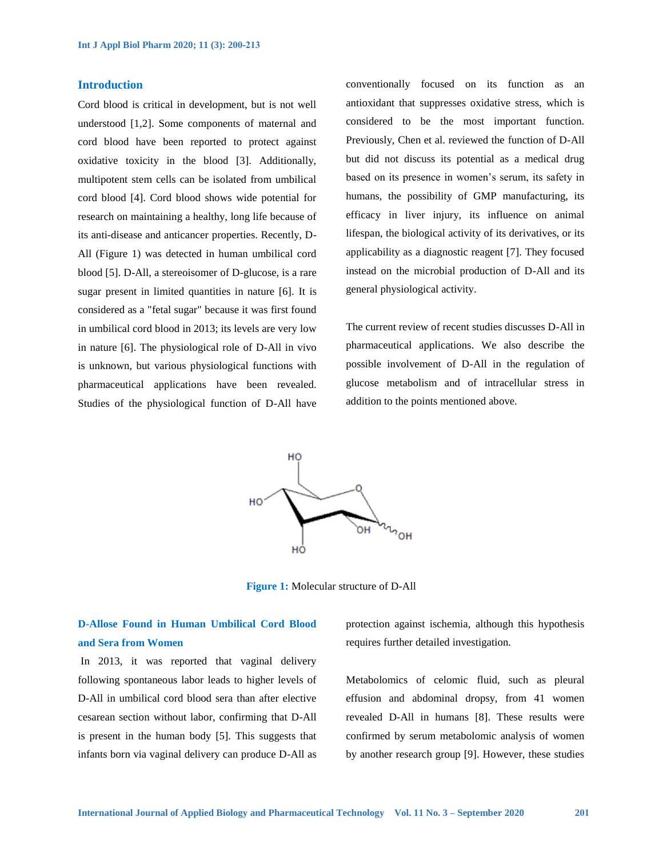# **Introduction**

Cord blood is critical in development, but is not well understood [1,2]. Some components of maternal and cord blood have been reported to protect against oxidative toxicity in the blood [3]. Additionally, multipotent stem cells can be isolated from umbilical cord blood [4]. Cord blood shows wide potential for research on maintaining a healthy, long life because of its anti-disease and anticancer properties. Recently, D-All (Figure 1) was detected in human umbilical cord blood [5]. D-All, a stereoisomer of D-glucose, is a rare sugar present in limited quantities in nature [6]. It is considered as a "fetal sugar" because it was first found in umbilical cord blood in 2013; its levels are very low in nature [6]. The physiological role of D-All in vivo is unknown, but various physiological functions with pharmaceutical applications have been revealed. Studies of the physiological function of D-All have conventionally focused on its function as an antioxidant that suppresses oxidative stress, which is considered to be the most important function. Previously, Chen et al. reviewed the function of D-All but did not discuss its potential as a medical drug based on its presence in women's serum, its safety in humans, the possibility of GMP manufacturing, its efficacy in liver injury, its influence on animal lifespan, the biological activity of its derivatives, or its applicability as a diagnostic reagent [7]. They focused instead on the microbial production of D-All and its general physiological activity.

The current review of recent studies discusses D-All in pharmaceutical applications. We also describe the possible involvement of D-All in the regulation of glucose metabolism and of intracellular stress in addition to the points mentioned above.



**Figure 1:** Molecular structure of D-All

# **D-Allose Found in Human Umbilical Cord Blood and Sera from Women**

In 2013, it was reported that vaginal delivery following spontaneous labor leads to higher levels of D-All in umbilical cord blood sera than after elective cesarean section without labor, confirming that D-All is present in the human body [5]. This suggests that infants born via vaginal delivery can produce D-All as protection against ischemia, although this hypothesis requires further detailed investigation.

Metabolomics of celomic fluid, such as pleural effusion and abdominal dropsy, from 41 women revealed D-All in humans [8]. These results were confirmed by serum metabolomic analysis of women by another research group [9]. However, these studies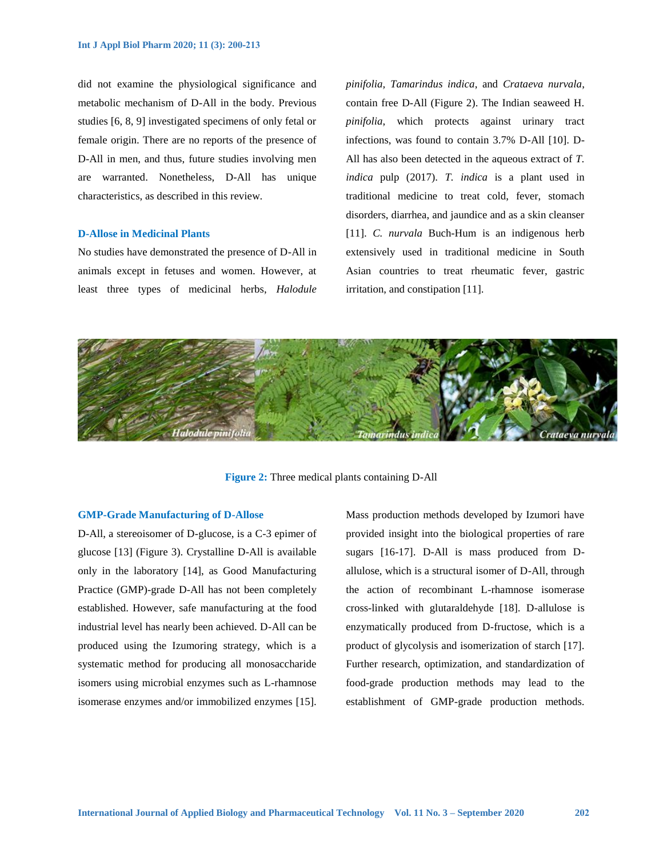did not examine the physiological significance and metabolic mechanism of D-All in the body. Previous studies [6, 8, 9] investigated specimens of only fetal or female origin. There are no reports of the presence of D-All in men, and thus, future studies involving men are warranted. Nonetheless, D-All has unique characteristics, as described in this review.

# **D-Allose in Medicinal Plants**

No studies have demonstrated the presence of D-All in animals except in fetuses and women. However, at least three types of medicinal herbs, *Halodule*  *pinifolia, Tamarindus indica*, and *Crataeva nurvala*, contain free D-All (Figure 2). The Indian seaweed H. *pinifolia*, which protects against urinary tract infections, was found to contain 3.7% D-All [10]. D-All has also been detected in the aqueous extract of *T. indica* pulp (2017). *T. indica* is a plant used in traditional medicine to treat cold, fever, stomach disorders, diarrhea, and jaundice and as a skin cleanser [11]. *C. nurvala* Buch-Hum is an indigenous herb extensively used in traditional medicine in South Asian countries to treat rheumatic fever, gastric irritation, and constipation [11].



**Figure 2:** Three medical plants containing D-All

#### **GMP-Grade Manufacturing of D-Allose**

D-All, a stereoisomer of D-glucose, is a C-3 epimer of glucose [13] (Figure 3). Crystalline D-All is available only in the laboratory [14], as Good Manufacturing Practice (GMP)-grade D-All has not been completely established. However, safe manufacturing at the food industrial level has nearly been achieved. D-All can be produced using the Izumoring strategy, which is a systematic method for producing all monosaccharide isomers using microbial enzymes such as L-rhamnose isomerase enzymes and/or immobilized enzymes [15]. Mass production methods developed by Izumori have provided insight into the biological properties of rare sugars [16-17]. D-All is mass produced from Dallulose, which is a structural isomer of D-All, through the action of recombinant L-rhamnose isomerase cross-linked with glutaraldehyde [18]. D-allulose is enzymatically produced from D-fructose, which is a product of glycolysis and isomerization of starch [17]. Further research, optimization, and standardization of food-grade production methods may lead to the establishment of GMP-grade production methods.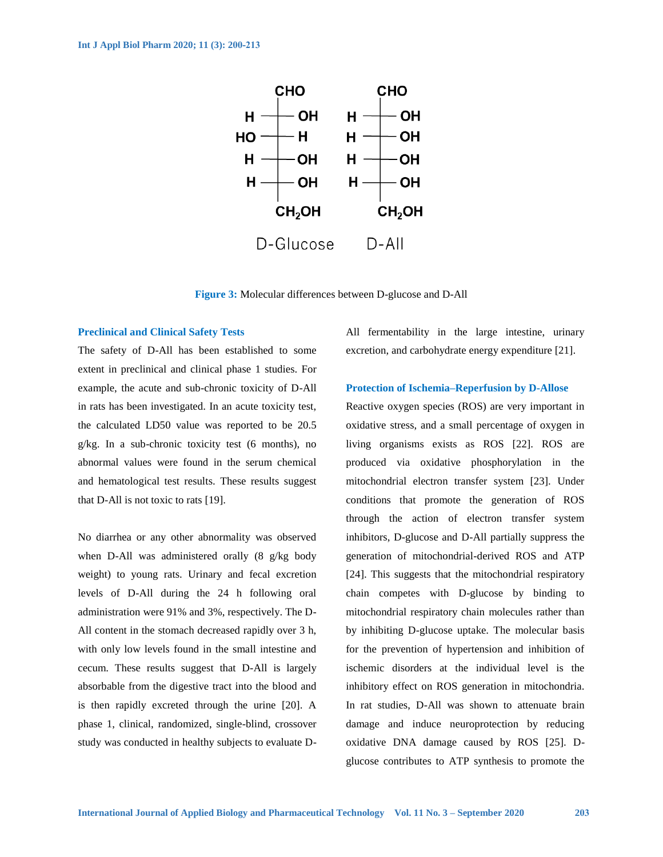

**Figure 3:** Molecular differences between D-glucose and D-All

# **Preclinical and Clinical Safety Tests**

The safety of D-All has been established to some extent in preclinical and clinical phase 1 studies. For example, the acute and sub-chronic toxicity of D-All in rats has been investigated. In an acute toxicity test, the calculated LD50 value was reported to be 20.5 g/kg. In a sub-chronic toxicity test (6 months), no abnormal values were found in the serum chemical and hematological test results. These results suggest that D-All is not toxic to rats [19].

No diarrhea or any other abnormality was observed when D-All was administered orally (8 g/kg body weight) to young rats. Urinary and fecal excretion levels of D-All during the 24 h following oral administration were 91% and 3%, respectively. The D-All content in the stomach decreased rapidly over 3 h, with only low levels found in the small intestine and cecum. These results suggest that D-All is largely absorbable from the digestive tract into the blood and is then rapidly excreted through the urine [20]. A phase 1, clinical, randomized, single-blind, crossover study was conducted in healthy subjects to evaluate D-

All fermentability in the large intestine, urinary excretion, and carbohydrate energy expenditure [21].

# **Protection of Ischemia–Reperfusion by D-Allose**

Reactive oxygen species (ROS) are very important in oxidative stress, and a small percentage of oxygen in living organisms exists as ROS [22]. ROS are produced via oxidative phosphorylation in the mitochondrial electron transfer system [23]. Under conditions that promote the generation of ROS through the action of electron transfer system inhibitors, D-glucose and D-All partially suppress the generation of mitochondrial-derived ROS and ATP [24]. This suggests that the mitochondrial respiratory chain competes with D-glucose by binding to mitochondrial respiratory chain molecules rather than by inhibiting D-glucose uptake. The molecular basis for the prevention of hypertension and inhibition of ischemic disorders at the individual level is the inhibitory effect on ROS generation in mitochondria. In rat studies, D-All was shown to attenuate brain damage and induce neuroprotection by reducing oxidative DNA damage caused by ROS [25]. Dglucose contributes to ATP synthesis to promote the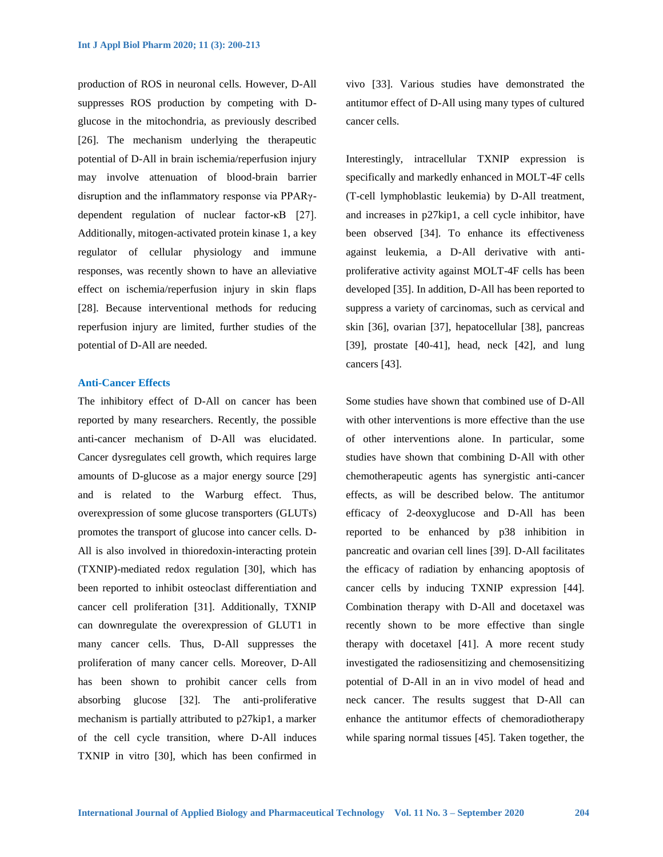production of ROS in neuronal cells. However, D-All suppresses ROS production by competing with Dglucose in the mitochondria, as previously described [26]. The mechanism underlying the therapeutic potential of D-All in brain ischemia/reperfusion injury may involve attenuation of blood-brain barrier disruption and the inflammatory response via PPARγdependent regulation of nuclear factor-κB [27]. Additionally, mitogen-activated protein kinase 1, a key regulator of cellular physiology and immune responses, was recently shown to have an alleviative effect on ischemia/reperfusion injury in skin flaps [28]. Because interventional methods for reducing reperfusion injury are limited, further studies of the potential of D-All are needed.

#### **Anti-Cancer Effects**

The inhibitory effect of D-All on cancer has been reported by many researchers. Recently, the possible anti-cancer mechanism of D-All was elucidated. Cancer dysregulates cell growth, which requires large amounts of D-glucose as a major energy source [29] and is related to the Warburg effect. Thus, overexpression of some glucose transporters (GLUTs) promotes the transport of glucose into cancer cells. D-All is also involved in thioredoxin-interacting protein (TXNIP)-mediated redox regulation [30], which has been reported to inhibit osteoclast differentiation and cancer cell proliferation [31]. Additionally, TXNIP can downregulate the overexpression of GLUT1 in many cancer cells. Thus, D-All suppresses the proliferation of many cancer cells. Moreover, D-All has been shown to prohibit cancer cells from absorbing glucose [32]. The anti-proliferative mechanism is partially attributed to p27kip1, a marker of the cell cycle transition, where D-All induces TXNIP in vitro [30], which has been confirmed in

vivo [33]. Various studies have demonstrated the antitumor effect of D-All using many types of cultured cancer cells.

Interestingly, intracellular TXNIP expression is specifically and markedly enhanced in MOLT-4F cells (T-cell lymphoblastic leukemia) by D-All treatment, and increases in p27kip1, a cell cycle inhibitor, have been observed [34]. To enhance its effectiveness against leukemia, a D-All derivative with antiproliferative activity against MOLT-4F cells has been developed [35]. In addition, D-All has been reported to suppress a variety of carcinomas, such as cervical and skin [36], ovarian [37], hepatocellular [38], pancreas [39], prostate [40-41], head, neck [42], and lung cancers [43].

Some studies have shown that combined use of D-All with other interventions is more effective than the use of other interventions alone. In particular, some studies have shown that combining D-All with other chemotherapeutic agents has synergistic anti-cancer effects, as will be described below. The antitumor efficacy of 2-deoxyglucose and D-All has been reported to be enhanced by p38 inhibition in pancreatic and ovarian cell lines [39]. D-All facilitates the efficacy of radiation by enhancing apoptosis of cancer cells by inducing TXNIP expression [44]. Combination therapy with D-All and docetaxel was recently shown to be more effective than single therapy with docetaxel [41]. A more recent study investigated the radiosensitizing and chemosensitizing potential of D-All in an in vivo model of head and neck cancer. The results suggest that D-All can enhance the antitumor effects of chemoradiotherapy while sparing normal tissues [45]. Taken together, the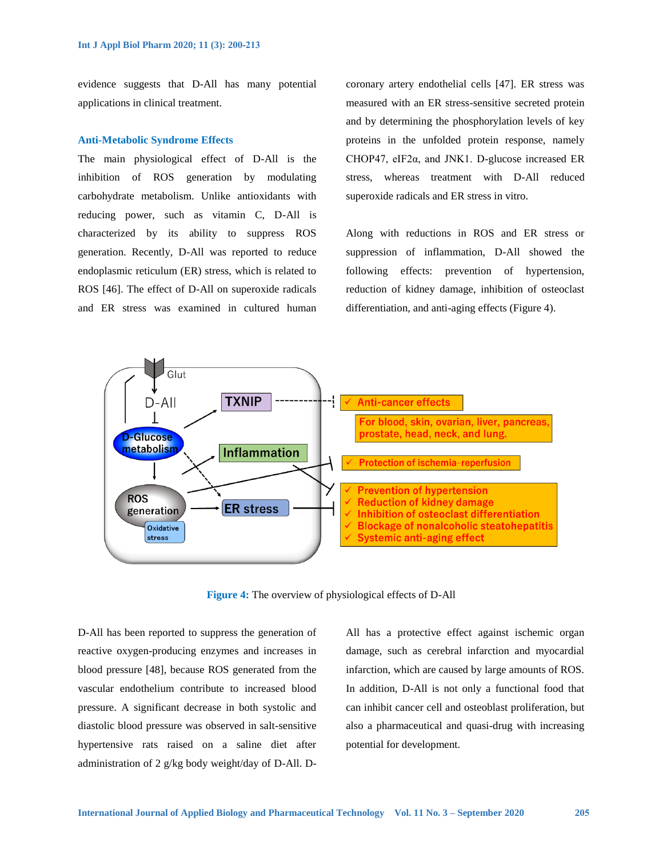evidence suggests that D-All has many potential applications in clinical treatment.

### **Anti-Metabolic Syndrome Effects**

The main physiological effect of D-All is the inhibition of ROS generation by modulating carbohydrate metabolism. Unlike antioxidants with reducing power, such as vitamin C, D-All is characterized by its ability to suppress ROS generation. Recently, D-All was reported to reduce endoplasmic reticulum (ER) stress, which is related to ROS [46]. The effect of D-All on superoxide radicals and ER stress was examined in cultured human coronary artery endothelial cells [47]. ER stress was measured with an ER stress-sensitive secreted protein and by determining the phosphorylation levels of key proteins in the unfolded protein response, namely CHOP47, eIF2α, and JNK1. D-glucose increased ER stress, whereas treatment with D-All reduced superoxide radicals and ER stress in vitro.

Along with reductions in ROS and ER stress or suppression of inflammation, D-All showed the following effects: prevention of hypertension, reduction of kidney damage, inhibition of osteoclast differentiation, and anti-aging effects (Figure 4).



**Figure 4:** The overview of physiological effects of D-All

D-All has been reported to suppress the generation of reactive oxygen-producing enzymes and increases in blood pressure [48], because ROS generated from the vascular endothelium contribute to increased blood pressure. A significant decrease in both systolic and diastolic blood pressure was observed in salt-sensitive hypertensive rats raised on a saline diet after administration of 2 g/kg body weight/day of D-All. D-

All has a protective effect against ischemic organ damage, such as cerebral infarction and myocardial infarction, which are caused by large amounts of ROS. In addition, D-All is not only a functional food that can inhibit cancer cell and osteoblast proliferation, but also a pharmaceutical and quasi-drug with increasing potential for development.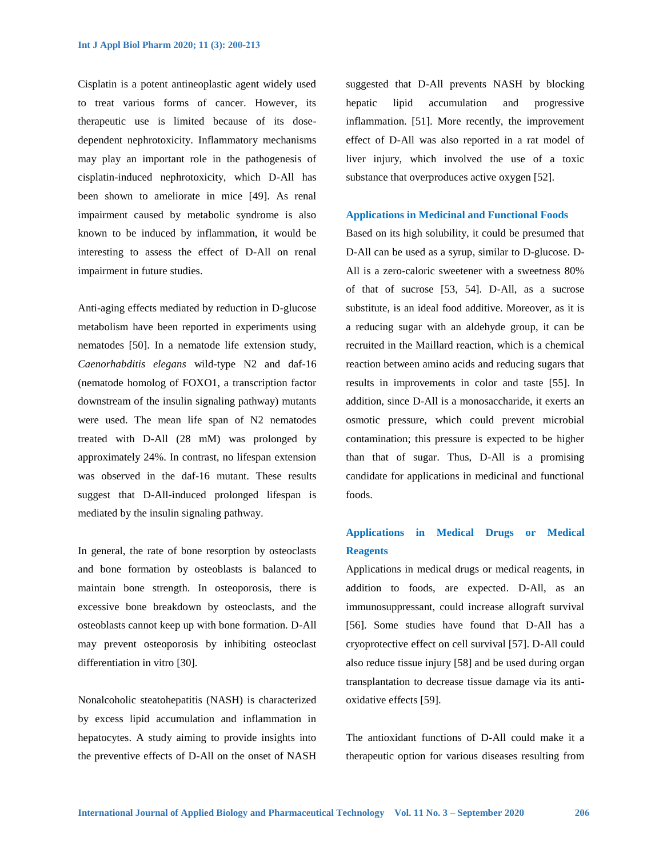Cisplatin is a potent antineoplastic agent widely used to treat various forms of cancer. However, its therapeutic use is limited because of its dosedependent nephrotoxicity. Inflammatory mechanisms may play an important role in the pathogenesis of cisplatin-induced nephrotoxicity, which D-All has been shown to ameliorate in mice [49]. As renal impairment caused by metabolic syndrome is also known to be induced by inflammation, it would be interesting to assess the effect of D-All on renal impairment in future studies.

Anti-aging effects mediated by reduction in D-glucose metabolism have been reported in experiments using nematodes [50]. In a nematode life extension study, *Caenorhabditis elegans* wild-type N2 and daf-16 (nematode homolog of FOXO1, a transcription factor downstream of the insulin signaling pathway) mutants were used. The mean life span of N2 nematodes treated with D-All (28 mM) was prolonged by approximately 24%. In contrast, no lifespan extension was observed in the daf-16 mutant. These results suggest that D-All-induced prolonged lifespan is mediated by the insulin signaling pathway.

In general, the rate of bone resorption by osteoclasts and bone formation by osteoblasts is balanced to maintain bone strength. In osteoporosis, there is excessive bone breakdown by osteoclasts, and the osteoblasts cannot keep up with bone formation. D-All may prevent osteoporosis by inhibiting osteoclast differentiation in vitro [30].

Nonalcoholic steatohepatitis (NASH) is characterized by excess lipid accumulation and inflammation in hepatocytes. A study aiming to provide insights into the preventive effects of D-All on the onset of NASH suggested that D-All prevents NASH by blocking hepatic lipid accumulation and progressive inflammation. [51]. More recently, the improvement effect of D-All was also reported in a rat model of liver injury, which involved the use of a toxic substance that overproduces active oxygen [52].

#### **Applications in Medicinal and Functional Foods**

Based on its high solubility, it could be presumed that D-All can be used as a syrup, similar to D-glucose. D-All is a zero-caloric sweetener with a sweetness 80% of that of sucrose [53, 54]. D-All, as a sucrose substitute, is an ideal food additive. Moreover, as it is a reducing sugar with an aldehyde group, it can be recruited in the Maillard reaction, which is a chemical reaction between amino acids and reducing sugars that results in improvements in color and taste [55]. In addition, since D-All is a monosaccharide, it exerts an osmotic pressure, which could prevent microbial contamination; this pressure is expected to be higher than that of sugar. Thus, D-All is a promising candidate for applications in medicinal and functional foods.

# **Applications in Medical Drugs or Medical Reagents**

Applications in medical drugs or medical reagents, in addition to foods, are expected. D-All, as an immunosuppressant, could increase allograft survival [56]. Some studies have found that D-All has a cryoprotective effect on cell survival [57]. D-All could also reduce tissue injury [58] and be used during organ transplantation to decrease tissue damage via its antioxidative effects [59].

The antioxidant functions of D-All could make it a therapeutic option for various diseases resulting from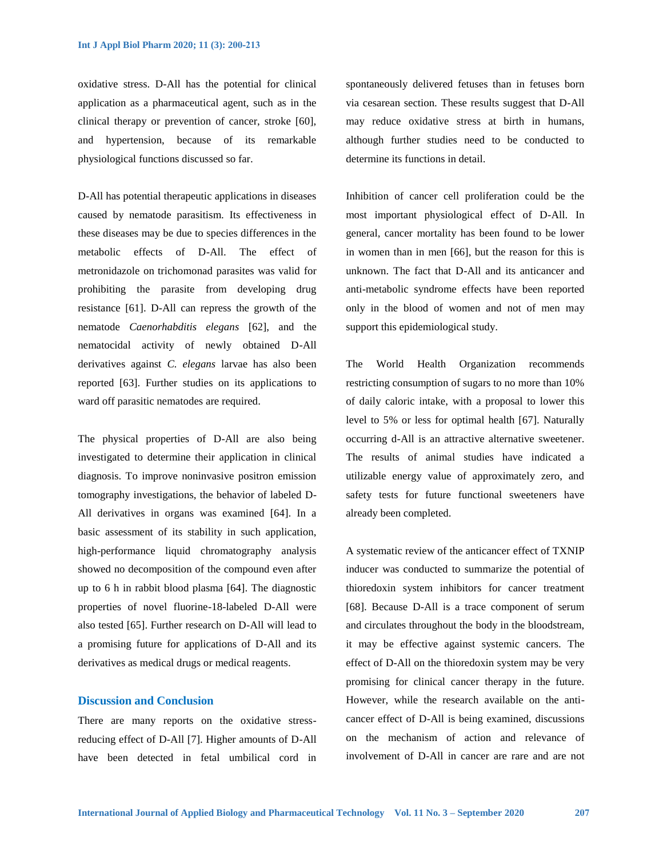oxidative stress. D-All has the potential for clinical application as a pharmaceutical agent, such as in the clinical therapy or prevention of cancer, stroke [60], and hypertension, because of its remarkable physiological functions discussed so far.

D-All has potential therapeutic applications in diseases caused by nematode parasitism. Its effectiveness in these diseases may be due to species differences in the metabolic effects of D-All. The effect of metronidazole on trichomonad parasites was valid for prohibiting the parasite from developing drug resistance [61]. D-All can repress the growth of the nematode *Caenorhabditis elegans* [62], and the nematocidal activity of newly obtained D-All derivatives against *C. elegans* larvae has also been reported [63]. Further studies on its applications to ward off parasitic nematodes are required.

The physical properties of D-All are also being investigated to determine their application in clinical diagnosis. To improve noninvasive positron emission tomography investigations, the behavior of labeled D-All derivatives in organs was examined [64]. In a basic assessment of its stability in such application, high-performance liquid chromatography analysis showed no decomposition of the compound even after up to 6 h in rabbit blood plasma [64]. The diagnostic properties of novel fluorine-18-labeled D-All were also tested [65]. Further research on D-All will lead to a promising future for applications of D-All and its derivatives as medical drugs or medical reagents.

# **Discussion and Conclusion**

There are many reports on the oxidative stressreducing effect of D-All [7]. Higher amounts of D-All have been detected in fetal umbilical cord in spontaneously delivered fetuses than in fetuses born via cesarean section. These results suggest that D-All may reduce oxidative stress at birth in humans, although further studies need to be conducted to determine its functions in detail.

Inhibition of cancer cell proliferation could be the most important physiological effect of D-All. In general, cancer mortality has been found to be lower in women than in men [66], but the reason for this is unknown. The fact that D-All and its anticancer and anti-metabolic syndrome effects have been reported only in the blood of women and not of men may support this epidemiological study.

The World Health Organization recommends restricting consumption of sugars to no more than 10% of daily caloric intake, with a proposal to lower this level to 5% or less for optimal health [67]. Naturally occurring d-All is an attractive alternative sweetener. The results of animal studies have indicated a utilizable energy value of approximately zero, and safety tests for future functional sweeteners have already been completed.

A systematic review of the anticancer effect of TXNIP inducer was conducted to summarize the potential of thioredoxin system inhibitors for cancer treatment [68]. Because D-All is a trace component of serum and circulates throughout the body in the bloodstream, it may be effective against systemic cancers. The effect of D-All on the thioredoxin system may be very promising for clinical cancer therapy in the future. However, while the research available on the anticancer effect of D-All is being examined, discussions on the mechanism of action and relevance of involvement of D-All in cancer are rare and are not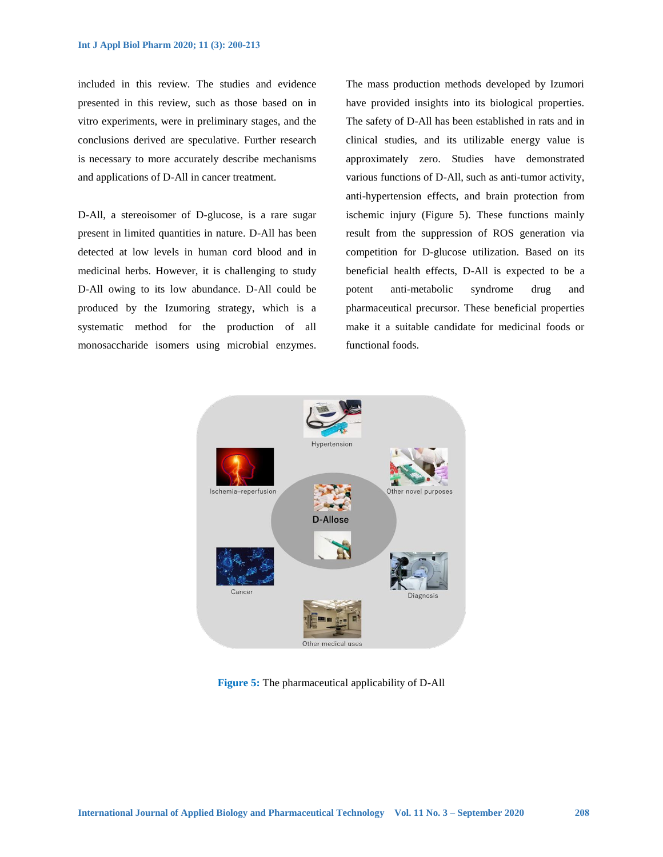included in this review. The studies and evidence presented in this review, such as those based on in vitro experiments, were in preliminary stages, and the conclusions derived are speculative. Further research is necessary to more accurately describe mechanisms and applications of D-All in cancer treatment.

D-All, a stereoisomer of D-glucose, is a rare sugar present in limited quantities in nature. D-All has been detected at low levels in human cord blood and in medicinal herbs. However, it is challenging to study D-All owing to its low abundance. D-All could be produced by the Izumoring strategy, which is a systematic method for the production of all monosaccharide isomers using microbial enzymes. The mass production methods developed by Izumori have provided insights into its biological properties. The safety of D-All has been established in rats and in clinical studies, and its utilizable energy value is approximately zero. Studies have demonstrated various functions of D-All, such as anti-tumor activity, anti-hypertension effects, and brain protection from ischemic injury (Figure 5). These functions mainly result from the suppression of ROS generation via competition for D-glucose utilization. Based on its beneficial health effects, D-All is expected to be a potent anti-metabolic syndrome drug and pharmaceutical precursor. These beneficial properties make it a suitable candidate for medicinal foods or functional foods.



**Figure 5:** The pharmaceutical applicability of D-All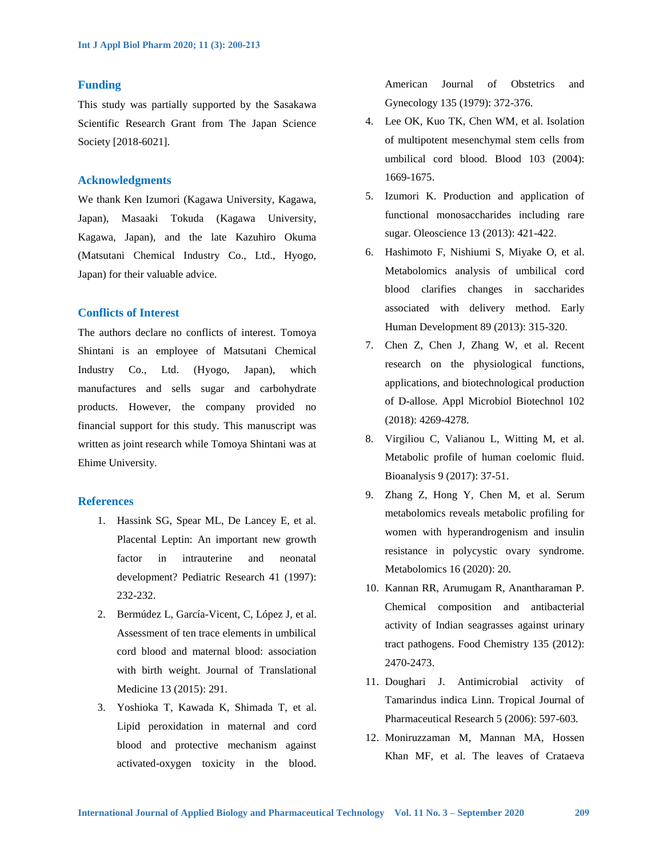#### **Funding**

This study was partially supported by the Sasakawa Scientific Research Grant from The Japan Science Society [2018-6021].

# **Acknowledgments**

We thank Ken Izumori (Kagawa University, Kagawa, Japan), Masaaki Tokuda (Kagawa University, Kagawa, Japan), and the late Kazuhiro Okuma (Matsutani Chemical Industry Co., Ltd., Hyogo, Japan) for their valuable advice.

# **Conflicts of Interest**

The authors declare no conflicts of interest. Tomoya Shintani is an employee of Matsutani Chemical Industry Co., Ltd. (Hyogo, Japan), which manufactures and sells sugar and carbohydrate products. However, the company provided no financial support for this study. This manuscript was written as joint research while Tomoya Shintani was at Ehime University.

# **References**

- 1. Hassink SG, Spear ML, De Lancey E, et al. Placental Leptin: An important new growth factor in intrauterine and neonatal development? Pediatric Research 41 (1997): 232-232.
- 2. Bermúdez L, García-Vicent, C, López J, et al. Assessment of ten trace elements in umbilical cord blood and maternal blood: association with birth weight. Journal of Translational Medicine 13 (2015): 291.
- 3. Yoshioka T, Kawada K, Shimada T, et al. Lipid peroxidation in maternal and cord blood and protective mechanism against activated-oxygen toxicity in the blood.

American Journal of Obstetrics and Gynecology 135 (1979): 372-376.

- 4. Lee OK, Kuo TK, Chen WM, et al. Isolation of multipotent mesenchymal stem cells from umbilical cord blood. Blood 103 (2004): 1669-1675.
- 5. Izumori K. Production and application of functional monosaccharides including rare sugar. Oleoscience 13 (2013): 421-422.
- 6. Hashimoto F, Nishiumi S, Miyake O, et al. Metabolomics analysis of umbilical cord blood clarifies changes in saccharides associated with delivery method. Early Human Development 89 (2013): 315-320.
- 7. Chen Z, Chen J, Zhang W, et al. Recent research on the physiological functions, applications, and biotechnological production of D-allose. Appl Microbiol Biotechnol 102 (2018): 4269-4278.
- 8. Virgiliou C, Valianou L, Witting M, et al. Metabolic profile of human coelomic fluid. Bioanalysis 9 (2017): 37-51.
- 9. Zhang Z, Hong Y, Chen M, et al. Serum metabolomics reveals metabolic profiling for women with hyperandrogenism and insulin resistance in polycystic ovary syndrome. Metabolomics 16 (2020): 20.
- 10. Kannan RR, Arumugam R, Anantharaman P. Chemical composition and antibacterial activity of Indian seagrasses against urinary tract pathogens. Food Chemistry 135 (2012): 2470-2473.
- 11. Doughari J. Antimicrobial activity of Tamarindus indica Linn. Tropical Journal of Pharmaceutical Research 5 (2006): 597-603.
- 12. Moniruzzaman M, Mannan MA, Hossen Khan MF, et al. The leaves of Crataeva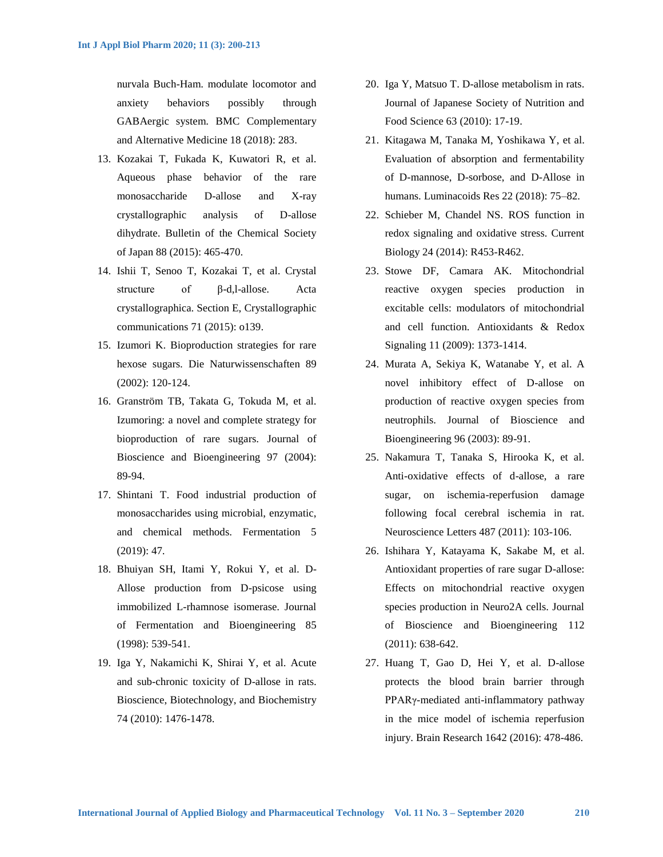nurvala Buch-Ham. modulate locomotor and anxiety behaviors possibly through GABAergic system. BMC Complementary and Alternative Medicine 18 (2018): 283.

- 13. Kozakai T, Fukada K, Kuwatori R, et al. Aqueous phase behavior of the rare monosaccharide D-allose and X-ray crystallographic analysis of D-allose dihydrate. Bulletin of the Chemical Society of Japan 88 (2015): 465-470.
- 14. Ishii T, Senoo T, Kozakai T, et al. Crystal structure of β-d,l-allose. Acta crystallographica. Section E, Crystallographic communications 71 (2015): o139.
- 15. Izumori K. Bioproduction strategies for rare hexose sugars. Die Naturwissenschaften 89 (2002): 120-124.
- 16. Granström TB, Takata G, Tokuda M, et al. Izumoring: a novel and complete strategy for bioproduction of rare sugars. Journal of Bioscience and Bioengineering 97 (2004): 89-94.
- 17. Shintani T. Food industrial production of monosaccharides using microbial, enzymatic, and chemical methods. Fermentation 5 (2019): 47.
- 18. Bhuiyan SH, Itami Y, Rokui Y, et al. D-Allose production from D-psicose using immobilized L-rhamnose isomerase. Journal of Fermentation and Bioengineering 85 (1998): 539-541.
- 19. Iga Y, Nakamichi K, Shirai Y, et al. Acute and sub-chronic toxicity of D-allose in rats. Bioscience, Biotechnology, and Biochemistry 74 (2010): 1476-1478.
- 20. Iga Y, Matsuo T. D-allose metabolism in rats. Journal of Japanese Society of Nutrition and Food Science 63 (2010): 17-19.
- 21. Kitagawa M, Tanaka M, Yoshikawa Y, et al. Evaluation of absorption and fermentability of D-mannose, D-sorbose, and D-Allose in humans. Luminacoids Res 22 (2018): 75–82.
- 22. Schieber M, Chandel NS. ROS function in redox signaling and oxidative stress. Current Biology 24 (2014): R453-R462.
- 23. Stowe DF, Camara AK. Mitochondrial reactive oxygen species production in excitable cells: modulators of mitochondrial and cell function. Antioxidants & Redox Signaling 11 (2009): 1373-1414.
- 24. Murata A, Sekiya K, Watanabe Y, et al. A novel inhibitory effect of D-allose on production of reactive oxygen species from neutrophils. Journal of Bioscience and Bioengineering 96 (2003): 89-91.
- 25. Nakamura T, Tanaka S, Hirooka K, et al. Anti-oxidative effects of d-allose, a rare sugar, on ischemia-reperfusion damage following focal cerebral ischemia in rat. Neuroscience Letters 487 (2011): 103-106.
- 26. Ishihara Y, Katayama K, Sakabe M, et al. Antioxidant properties of rare sugar D-allose: Effects on mitochondrial reactive oxygen species production in Neuro2A cells. Journal of Bioscience and Bioengineering 112 (2011): 638-642.
- 27. Huang T, Gao D, Hei Y, et al. D-allose protects the blood brain barrier through PPARγ-mediated anti-inflammatory pathway in the mice model of ischemia reperfusion injury. Brain Research 1642 (2016): 478-486.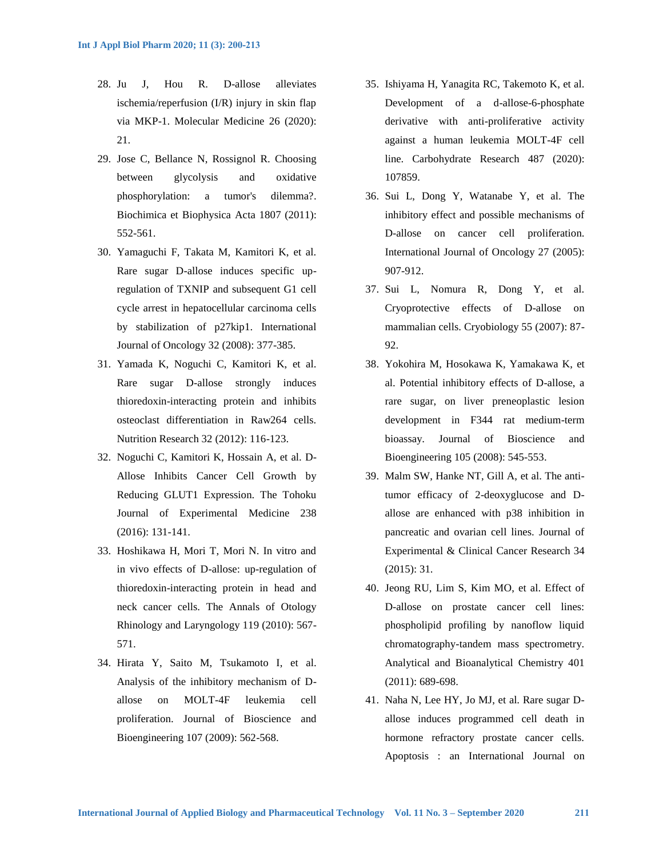- 28. Ju J, Hou R. D-allose alleviates ischemia/reperfusion (I/R) injury in skin flap via MKP-1. Molecular Medicine 26 (2020): 21.
- 29. Jose C, Bellance N, Rossignol R. Choosing between glycolysis and oxidative phosphorylation: a tumor's dilemma?. Biochimica et Biophysica Acta 1807 (2011): 552-561.
- 30. Yamaguchi F, Takata M, Kamitori K, et al. Rare sugar D-allose induces specific upregulation of TXNIP and subsequent G1 cell cycle arrest in hepatocellular carcinoma cells by stabilization of p27kip1. International Journal of Oncology 32 (2008): 377-385.
- 31. Yamada K, Noguchi C, Kamitori K, et al. Rare sugar D-allose strongly induces thioredoxin-interacting protein and inhibits osteoclast differentiation in Raw264 cells. Nutrition Research 32 (2012): 116-123.
- 32. Noguchi C, Kamitori K, Hossain A, et al. D-Allose Inhibits Cancer Cell Growth by Reducing GLUT1 Expression. The Tohoku Journal of Experimental Medicine 238 (2016): 131-141.
- 33. Hoshikawa H, Mori T, Mori N. In vitro and in vivo effects of D-allose: up-regulation of thioredoxin-interacting protein in head and neck cancer cells. The Annals of Otology Rhinology and Laryngology 119 (2010): 567- 571.
- 34. Hirata Y, Saito M, Tsukamoto I, et al. Analysis of the inhibitory mechanism of Dallose on MOLT-4F leukemia cell proliferation. Journal of Bioscience and Bioengineering 107 (2009): 562-568.
- 35. Ishiyama H, Yanagita RC, Takemoto K, et al. Development of a d-allose-6-phosphate derivative with anti-proliferative activity against a human leukemia MOLT-4F cell line. Carbohydrate Research 487 (2020): 107859.
- 36. Sui L, Dong Y, Watanabe Y, et al. The inhibitory effect and possible mechanisms of D-allose on cancer cell proliferation. International Journal of Oncology 27 (2005): 907-912.
- 37. Sui L, Nomura R, Dong Y, et al. Cryoprotective effects of D-allose on mammalian cells. Cryobiology 55 (2007): 87- 92.
- 38. Yokohira M, Hosokawa K, Yamakawa K, et al. Potential inhibitory effects of D-allose, a rare sugar, on liver preneoplastic lesion development in F344 rat medium-term bioassay. Journal of Bioscience and Bioengineering 105 (2008): 545-553.
- 39. Malm SW, Hanke NT, Gill A, et al. The antitumor efficacy of 2-deoxyglucose and Dallose are enhanced with p38 inhibition in pancreatic and ovarian cell lines. Journal of Experimental & Clinical Cancer Research 34 (2015): 31.
- 40. Jeong RU, Lim S, Kim MO, et al. Effect of D-allose on prostate cancer cell lines: phospholipid profiling by nanoflow liquid chromatography-tandem mass spectrometry. Analytical and Bioanalytical Chemistry 401 (2011): 689-698.
- 41. Naha N, Lee HY, Jo MJ, et al. Rare sugar Dallose induces programmed cell death in hormone refractory prostate cancer cells. Apoptosis : an International Journal on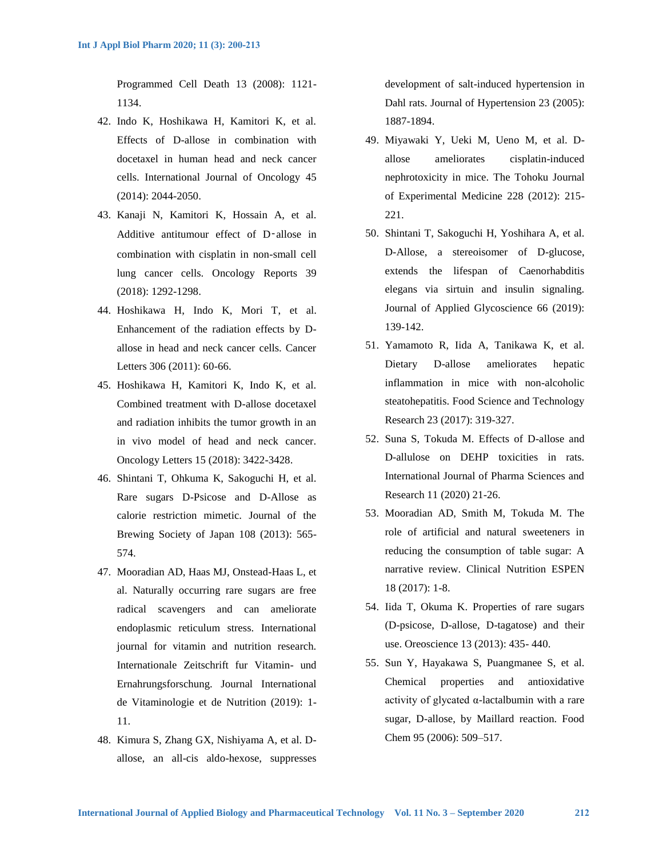Programmed Cell Death 13 (2008): 1121- 1134.

- 42. Indo K, Hoshikawa H, Kamitori K, et al. Effects of D-allose in combination with docetaxel in human head and neck cancer cells. International Journal of Oncology 45 (2014): 2044-2050.
- 43. Kanaji N, Kamitori K, Hossain A, et al. Additive antitumour effect of D-allose in combination with cisplatin in non-small cell lung cancer cells. Oncology Reports 39 (2018): 1292-1298.
- 44. Hoshikawa H, Indo K, Mori T, et al. Enhancement of the radiation effects by Dallose in head and neck cancer cells. Cancer Letters 306 (2011): 60-66.
- 45. Hoshikawa H, Kamitori K, Indo K, et al. Combined treatment with D-allose docetaxel and radiation inhibits the tumor growth in an in vivo model of head and neck cancer. Oncology Letters 15 (2018): 3422-3428.
- 46. Shintani T, Ohkuma K, Sakoguchi H, et al. Rare sugars D-Psicose and D-Allose as calorie restriction mimetic. Journal of the Brewing Society of Japan 108 (2013): 565- 574.
- 47. Mooradian AD, Haas MJ, Onstead-Haas L, et al. Naturally occurring rare sugars are free radical scavengers and can ameliorate endoplasmic reticulum stress. International journal for vitamin and nutrition research. Internationale Zeitschrift fur Vitamin- und Ernahrungsforschung. Journal International de Vitaminologie et de Nutrition (2019): 1- 11.
- 48. Kimura S, Zhang GX, Nishiyama A, et al. Dallose, an all-cis aldo-hexose, suppresses

development of salt-induced hypertension in Dahl rats. Journal of Hypertension 23 (2005): 1887-1894.

- 49. Miyawaki Y, Ueki M, Ueno M, et al. Dallose ameliorates cisplatin-induced nephrotoxicity in mice. The Tohoku Journal of Experimental Medicine 228 (2012): 215- 221.
- 50. Shintani T, Sakoguchi H, Yoshihara A, et al. D-Allose, a stereoisomer of D-glucose, extends the lifespan of Caenorhabditis elegans via sirtuin and insulin signaling. Journal of Applied Glycoscience 66 (2019): 139-142.
- 51. Yamamoto R, Iida A, Tanikawa K, et al. Dietary D-allose ameliorates hepatic inflammation in mice with non-alcoholic steatohepatitis. Food Science and Technology Research 23 (2017): 319-327.
- 52. Suna S, Tokuda M. Effects of D-allose and D-allulose on DEHP toxicities in rats. International Journal of Pharma Sciences and Research 11 (2020) 21-26.
- 53. Mooradian AD, Smith M, Tokuda M. The role of artificial and natural sweeteners in reducing the consumption of table sugar: A narrative review. Clinical Nutrition ESPEN 18 (2017): 1-8.
- 54. Iida T, Okuma K. Properties of rare sugars (D-psicose, D-allose, D-tagatose) and their use. Oreoscience 13 (2013): 435- 440.
- 55. Sun Y, Hayakawa S, Puangmanee S, et al. Chemical properties and antioxidative activity of glycated  $\alpha$ -lactalbumin with a rare sugar, D-allose, by Maillard reaction. Food Chem 95 (2006): 509–517.